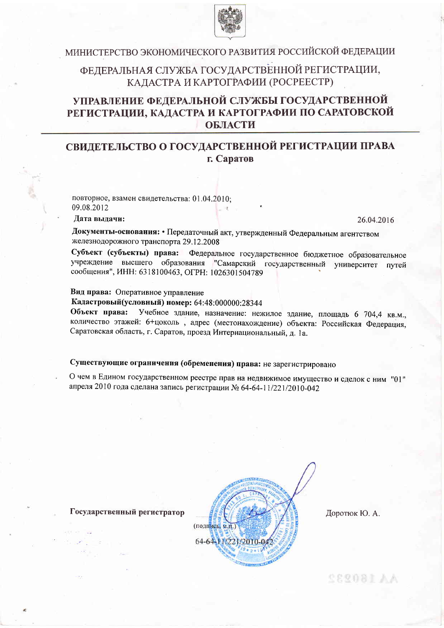

# МИНИСТЕРСТВО ЭКОНОМИЧЕСКОГО РАЗВИТИЯ РОССИЙСКОЙ ФЕДЕРАЦИИ

# ФЕДЕРАЛЬНАЯ СЛУЖБА ГОСУДАРСТВЕННОЙ РЕГИСТРАЦИИ, КАДАСТРА И КАРТОГРАФИИ (РОСРЕЕСТР)

# УПРАВЛЕНИЕ ФЕДЕРАЛЬНОЙ СЛУЖБЫ ГОСУДАРСТВЕННОЙ РЕГИСТРАЦИИ, КАДАСТРА И КАРТОГРАФИИ ПО САРАТОВСКОЙ ОБЛАСТИ

# СВИДЕТЕЛЬСТВО О ГОСУДАРСТВЕННОЙ РЕГИСТРАЦИИ ПРАВА г. Саратов

повторное, взамен свидетельства: 01.04.2010: 09.08.2012

### Лата вылачи:

26.04.2016

Документы-основания: • Передаточный акт, утвержденный Федеральным агентством железнодорожного транспорта 29.12.2008

Субъект (субъекты) права: Федеральное государственное бюджетное образовательное учреждение высшего образования "Самарский государственный университет путей сообщения", ИНН: 6318100463, ОГРН: 1026301504789

#### Вид права: Оперативное управление

Кадастровый(условный) номер: 64:48:000000:28344

Объект права: Учебное здание, назначение: нежилое здание, площадь 6 704,4 кв.м., количество этажей: 6+цоколь, адрес (местонахождение) объекта: Российская Федерация, Саратовская область, г. Саратов, проезд Интернациональный, д. 1а.

## Существующие ограничения (обременения) права: не зарегистрировано

О чем в Едином государственном реестре прав на недвижимое имущество и сделок с ним "01" апреля 2010 года сделана запись регистрации № 64-64-11/221/2010-042



Доротюк Ю. А.

AA160232

Государственный регистратор